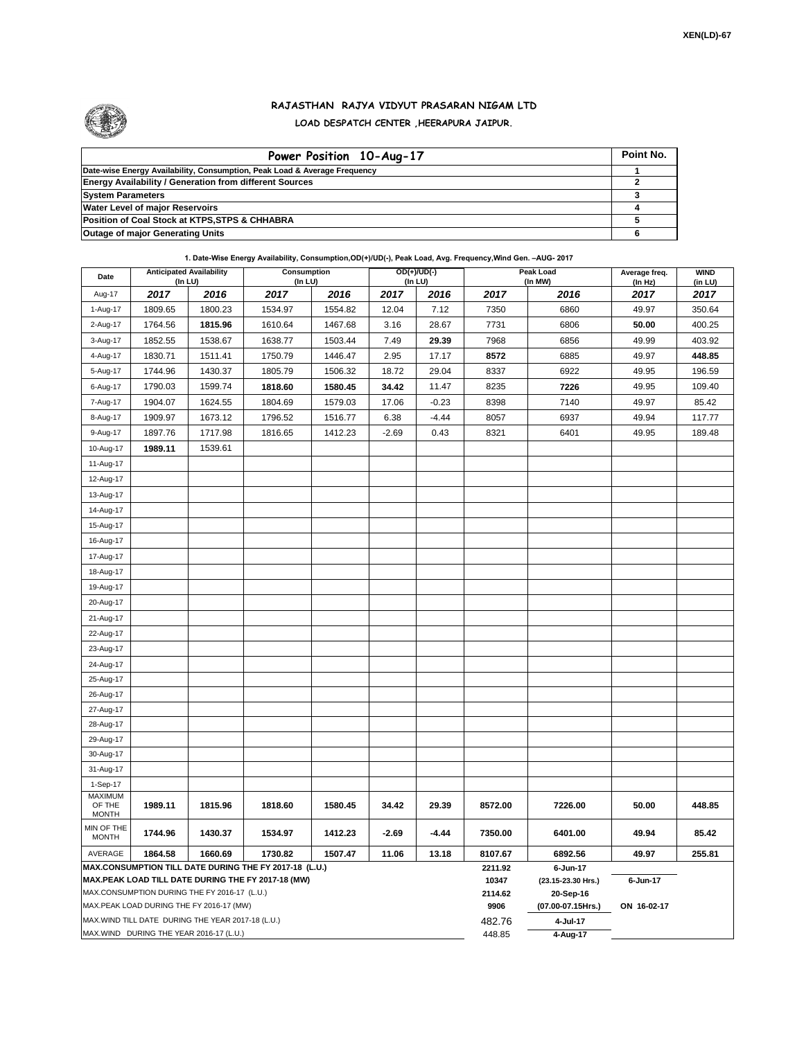

## **RAJASTHAN RAJYA VIDYUT PRASARAN NIGAM LTD LOAD DESPATCH CENTER ,HEERAPURA JAIPUR.**

| Power Position 10-Aug-17                                                  | Point No. |
|---------------------------------------------------------------------------|-----------|
| Date-wise Energy Availability, Consumption, Peak Load & Average Frequency |           |
| <b>Energy Availability / Generation from different Sources</b>            |           |
| <b>System Parameters</b>                                                  |           |
| <b>Water Level of major Reservoirs</b>                                    |           |
| Position of Coal Stock at KTPS, STPS & CHHABRA                            |           |
| <b>Outage of major Generating Units</b>                                   |           |

## **1. Date-Wise Energy Availability, Consumption,OD(+)/UD(-), Peak Load, Avg. Frequency,Wind Gen. –AUG- 2017**

| Date                                    | <b>Anticipated Availability</b><br>(In LU)                                               |         | Consumption<br>(In LU) |         |         | $OD(+)/UD(-)$<br>(In LU) | <b>Peak Load</b><br>(In MW) |                      | Average freq.<br>(In Hz) | <b>WIND</b><br>(in LU) |  |
|-----------------------------------------|------------------------------------------------------------------------------------------|---------|------------------------|---------|---------|--------------------------|-----------------------------|----------------------|--------------------------|------------------------|--|
| Aug-17                                  | 2017                                                                                     | 2016    | 2017                   | 2016    | 2017    | 2016                     | 2017                        | 2016                 | 2017                     | 2017                   |  |
| 1-Aug-17                                | 1809.65                                                                                  | 1800.23 | 1534.97                | 1554.82 | 12.04   | 7.12                     | 7350                        | 6860                 | 49.97                    | 350.64                 |  |
| 2-Aug-17                                | 1764.56                                                                                  | 1815.96 | 1610.64                | 1467.68 | 3.16    | 28.67                    | 7731                        | 6806                 | 50.00                    | 400.25                 |  |
| 3-Aug-17                                | 1852.55                                                                                  | 1538.67 | 1638.77                | 1503.44 | 7.49    | 29.39                    | 7968                        | 6856                 | 49.99                    | 403.92                 |  |
| 4-Aug-17                                | 1830.71                                                                                  | 1511.41 | 1750.79                | 1446.47 | 2.95    | 17.17                    | 8572                        | 6885                 | 49.97                    | 448.85                 |  |
| 5-Aug-17                                | 1744.96                                                                                  | 1430.37 | 1805.79                | 1506.32 | 18.72   | 29.04                    | 8337                        | 6922                 | 49.95                    | 196.59                 |  |
| 6-Aug-17                                | 1790.03                                                                                  | 1599.74 | 1818.60                | 1580.45 | 34.42   | 11.47                    | 8235                        | 7226                 | 49.95                    | 109.40                 |  |
| 7-Aug-17                                | 1904.07                                                                                  | 1624.55 | 1804.69                | 1579.03 | 17.06   | $-0.23$                  | 8398                        | 7140                 | 49.97                    | 85.42                  |  |
| 8-Aug-17                                | 1909.97                                                                                  | 1673.12 | 1796.52                | 1516.77 | 6.38    | $-4.44$                  | 8057                        | 6937                 | 49.94                    | 117.77                 |  |
| 9-Aug-17                                | 1897.76                                                                                  | 1717.98 | 1816.65                | 1412.23 | $-2.69$ | 0.43                     | 8321                        | 6401                 | 49.95                    | 189.48                 |  |
| 10-Aug-17                               | 1989.11                                                                                  | 1539.61 |                        |         |         |                          |                             |                      |                          |                        |  |
| 11-Aug-17                               |                                                                                          |         |                        |         |         |                          |                             |                      |                          |                        |  |
|                                         |                                                                                          |         |                        |         |         |                          |                             |                      |                          |                        |  |
| 12-Aug-17<br>13-Aug-17                  |                                                                                          |         |                        |         |         |                          |                             |                      |                          |                        |  |
|                                         |                                                                                          |         |                        |         |         |                          |                             |                      |                          |                        |  |
| 14-Aug-17                               |                                                                                          |         |                        |         |         |                          |                             |                      |                          |                        |  |
| 15-Aug-17                               |                                                                                          |         |                        |         |         |                          |                             |                      |                          |                        |  |
| 16-Aug-17                               |                                                                                          |         |                        |         |         |                          |                             |                      |                          |                        |  |
| 17-Aug-17                               |                                                                                          |         |                        |         |         |                          |                             |                      |                          |                        |  |
| 18-Aug-17                               |                                                                                          |         |                        |         |         |                          |                             |                      |                          |                        |  |
| 19-Aug-17                               |                                                                                          |         |                        |         |         |                          |                             |                      |                          |                        |  |
| 20-Aug-17                               |                                                                                          |         |                        |         |         |                          |                             |                      |                          |                        |  |
| 21-Aug-17                               |                                                                                          |         |                        |         |         |                          |                             |                      |                          |                        |  |
| 22-Aug-17                               |                                                                                          |         |                        |         |         |                          |                             |                      |                          |                        |  |
| 23-Aug-17                               |                                                                                          |         |                        |         |         |                          |                             |                      |                          |                        |  |
| 24-Aug-17                               |                                                                                          |         |                        |         |         |                          |                             |                      |                          |                        |  |
| 25-Aug-17                               |                                                                                          |         |                        |         |         |                          |                             |                      |                          |                        |  |
| 26-Aug-17                               |                                                                                          |         |                        |         |         |                          |                             |                      |                          |                        |  |
| 27-Aug-17                               |                                                                                          |         |                        |         |         |                          |                             |                      |                          |                        |  |
| 28-Aug-17                               |                                                                                          |         |                        |         |         |                          |                             |                      |                          |                        |  |
| 29-Aug-17                               |                                                                                          |         |                        |         |         |                          |                             |                      |                          |                        |  |
| 30-Aug-17                               |                                                                                          |         |                        |         |         |                          |                             |                      |                          |                        |  |
| 31-Aug-17                               |                                                                                          |         |                        |         |         |                          |                             |                      |                          |                        |  |
| 1-Sep-17<br>MAXIMUM                     |                                                                                          |         |                        |         |         |                          |                             |                      |                          |                        |  |
| OF THE<br><b>MONTH</b>                  | 1989.11                                                                                  | 1815.96 | 1818.60                | 1580.45 | 34.42   | 29.39                    | 8572.00                     | 7226.00              | 50.00                    | 448.85                 |  |
| MIN OF THE<br><b>MONTH</b>              | 1744.96                                                                                  | 1430.37 | 1534.97                | 1412.23 | $-2.69$ | $-4.44$                  | 7350.00                     | 6401.00              | 49.94                    | 85.42                  |  |
| AVERAGE                                 | 1864.58                                                                                  | 1660.69 | 1730.82                | 1507.47 | 11.06   | 13.18                    | 8107.67                     | 6892.56              | 49.97                    | 255.81                 |  |
|                                         | MAX.CONSUMPTION TILL DATE DURING THE FY 2017-18 (L.U.)                                   |         |                        |         |         |                          | 2211.92                     | 6-Jun-17             |                          |                        |  |
|                                         | MAX.PEAK LOAD TILL DATE DURING THE FY 2017-18 (MW)                                       |         |                        |         |         | 10347                    | (23.15-23.30 Hrs.)          | 6-Jun-17             |                          |                        |  |
|                                         | MAX.CONSUMPTION DURING THE FY 2016-17 (L.U.)<br>MAX.PEAK LOAD DURING THE FY 2016-17 (MW) |         |                        |         |         | 2114.62                  | 20-Sep-16                   |                      |                          |                        |  |
|                                         | MAX.WIND TILL DATE DURING THE YEAR 2017-18 (L.U.)                                        |         |                        |         |         |                          | 9906                        | (07.00-07.15Hrs.)    | ON 16-02-17              |                        |  |
|                                         |                                                                                          |         |                        |         |         |                          | 482.76<br>448.85            | 4-Jul-17<br>4-Aug-17 |                          |                        |  |
| MAX.WIND DURING THE YEAR 2016-17 (L.U.) |                                                                                          |         |                        |         |         |                          |                             |                      |                          |                        |  |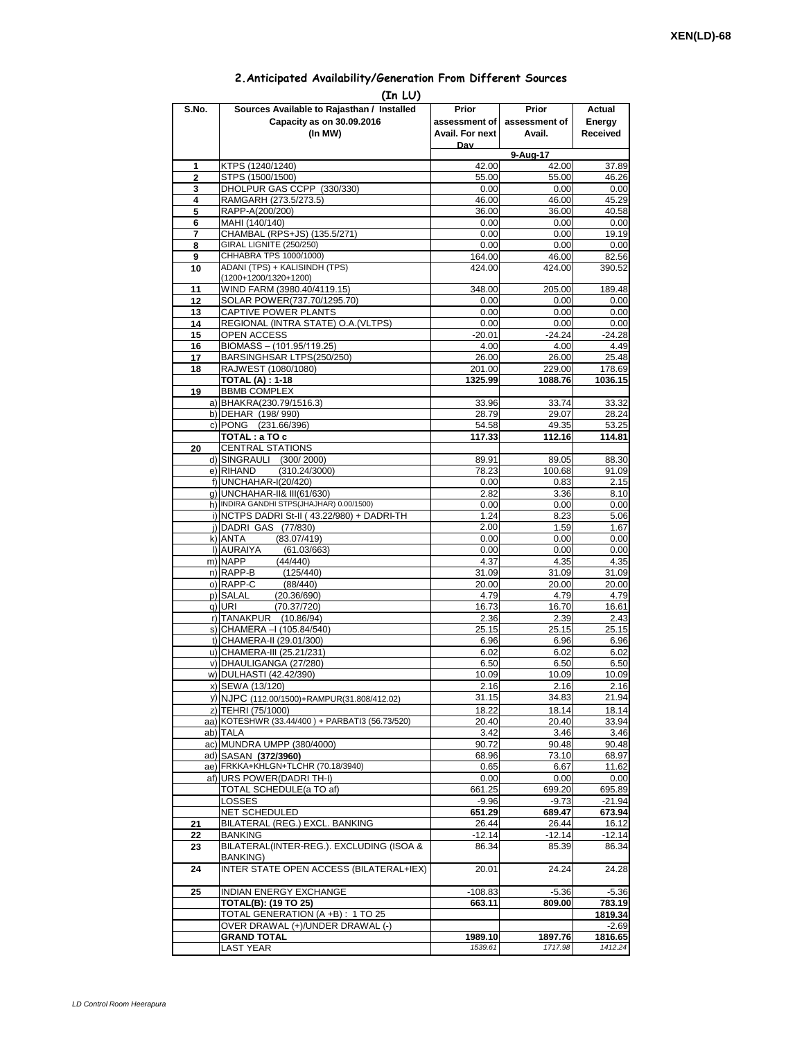## **2.Anticipated Availability/Generation From Different Sources**

| (In LU)        |                                                                       |                   |                   |                    |  |  |  |  |  |
|----------------|-----------------------------------------------------------------------|-------------------|-------------------|--------------------|--|--|--|--|--|
| S.No.          | Sources Available to Rajasthan / Installed                            | Prior             | Prior             | Actual             |  |  |  |  |  |
|                | Capacity as on 30.09.2016                                             | assessment of I   | assessment of     | Energy             |  |  |  |  |  |
|                | (In MW)                                                               | Avail. For next   | Avail.            | Received           |  |  |  |  |  |
|                |                                                                       | Dav               |                   |                    |  |  |  |  |  |
| 1              | KTPS (1240/1240)                                                      | 42.00             | 9-Aug-17<br>42.00 | 37.89              |  |  |  |  |  |
| $\overline{2}$ | STPS (1500/1500)                                                      | 55.00             | 55.00             | 46.26              |  |  |  |  |  |
| 3              | DHOLPUR GAS CCPP (330/330)                                            | 0.00              | 0.00              | 0.00               |  |  |  |  |  |
| 4              | RAMGARH (273.5/273.5)                                                 | 46.00             | 46.00             | 45.29              |  |  |  |  |  |
| 5              | RAPP-A(200/200)                                                       | 36.00             | 36.00             | 40.58              |  |  |  |  |  |
| 6              | MAHI (140/140)                                                        | 0.00              | 0.00              | 0.00               |  |  |  |  |  |
| 7<br>8         | CHAMBAL (RPS+JS) (135.5/271)<br>GIRAL LIGNITE (250/250)               | 0.00<br>0.00      | 0.00<br>0.00      | 19.19<br>0.00      |  |  |  |  |  |
| 9              | CHHABRA TPS 1000/1000)                                                | 164.00            | 46.00             | 82.56              |  |  |  |  |  |
| 10             | ADANI (TPS) + KALISINDH (TPS)                                         | 424.00            | 424.00            | 390.52             |  |  |  |  |  |
|                | (1200+1200/1320+1200)                                                 |                   |                   |                    |  |  |  |  |  |
| 11             | WIND FARM (3980.40/4119.15)                                           | 348.00            | 205.00            | 189.48             |  |  |  |  |  |
| 12<br>13       | SOLAR POWER(737.70/1295.70)<br>CAPTIVE POWER PLANTS                   | 0.00<br>0.00      | 0.00<br>0.00      | 0.00<br>0.00       |  |  |  |  |  |
| 14             | REGIONAL (INTRA STATE) O.A. (VLTPS)                                   | 0.00              | 0.00              | 0.00               |  |  |  |  |  |
| 15             | <b>OPEN ACCESS</b>                                                    | $-20.01$          | $-24.24$          | $-24.28$           |  |  |  |  |  |
| 16             | BIOMASS - (101.95/119.25)                                             | 4.00              | 4.00              | 4.49               |  |  |  |  |  |
| 17             | BARSINGHSAR LTPS(250/250)                                             | 26.00             | 26.00             | 25.48              |  |  |  |  |  |
| 18             | RAJWEST (1080/1080)                                                   | 201.00            | 229.00            | 178.69             |  |  |  |  |  |
| 19             | <b>TOTAL (A): 1-18</b><br><b>BBMB COMPLEX</b>                         | 1325.99           | 1088.76           | 1036.15            |  |  |  |  |  |
|                | a) BHAKRA(230.79/1516.3)                                              | 33.96             | 33.74             | 33.32              |  |  |  |  |  |
|                | b) DEHAR (198/990)                                                    | 28.79             | 29.07             | 28.24              |  |  |  |  |  |
|                | c) PONG (231.66/396)                                                  | 54.58             | 49.35             | 53.25              |  |  |  |  |  |
|                | TOTAL: a TO c                                                         | 117.33            | 112.16            | 114.81             |  |  |  |  |  |
| 20             | <b>CENTRAL STATIONS</b>                                               |                   |                   |                    |  |  |  |  |  |
|                | d) SINGRAULI (300/2000)                                               | 89.91             | 89.05             | 88.30              |  |  |  |  |  |
|                | e) RIHAND<br>(310.24/3000)<br>f) UNCHAHAR-I(20/420)                   | 78.23<br>0.00     | 100.68<br>0.83    | 91.09<br>2.15      |  |  |  |  |  |
|                | g) UNCHAHAR-II& III(61/630)                                           | 2.82              | 3.36              | 8.10               |  |  |  |  |  |
|                | h) INDIRA GANDHI STPS(JHAJHAR) 0.00/1500)                             | 0.00              | 0.00              | 0.00               |  |  |  |  |  |
|                | i) NCTPS DADRI St-II (43.22/980) + DADRI-TH                           | 1.24              | 8.23              | 5.06               |  |  |  |  |  |
|                | i) DADRI GAS (77/830)                                                 | 2.00              | 1.59              | 1.67               |  |  |  |  |  |
|                | (83.07/419)<br>k) ANTA<br>I) AURAIYA                                  | 0.00              | 0.00              | 0.00               |  |  |  |  |  |
|                | (61.03/663)<br>m) NAPP<br>(44/440)                                    | 0.00<br>4.37      | 0.00<br>4.35      | 0.00<br>4.35       |  |  |  |  |  |
|                | n) RAPP-B<br>(125/440)                                                | 31.09             | 31.09             | 31.09              |  |  |  |  |  |
|                | o) RAPP-C<br>(88/440)                                                 | 20.00             | 20.00             | 20.00              |  |  |  |  |  |
|                | p) SALAL<br>(20.36/690)                                               | 4.79              | 4.79              | 4.79               |  |  |  |  |  |
|                | q) URI<br>(70.37/720)                                                 | 16.73             | 16.70             | 16.61              |  |  |  |  |  |
|                | r) TANAKPUR<br>(10.86/94)<br>s) CHAMERA - (105.84/540)                | 2.36<br>25.15     | 2.39<br>25.15     | 2.43<br>25.15      |  |  |  |  |  |
|                | t) CHAMERA-II (29.01/300)                                             | 6.96              | 6.96              | 6.96               |  |  |  |  |  |
|                | u) CHAMERA-III (25.21/231)                                            | 6.02              | 6.02              | 6.02               |  |  |  |  |  |
|                | v) DHAULIGANGA (27/280)                                               | 6.50              | 6.50              | 6.50               |  |  |  |  |  |
|                | w) DULHASTI (42.42/390)                                               | 10.09             | 10.09             | 10.09              |  |  |  |  |  |
|                | x) SEWA (13/120)                                                      | 2.16              | 2.16              | 2.16               |  |  |  |  |  |
|                | y) NJPC (112.00/1500)+RAMPUR(31.808/412.02)                           | 31.15             | 34.83             | 21.94              |  |  |  |  |  |
|                | z) TEHRI (75/1000)<br>aa) KOTESHWR (33.44/400) + PARBATI3 (56.73/520) | 18.22<br>20.40    | 18.14<br>20.40    | 18.14<br>33.94     |  |  |  |  |  |
|                | ab) TALA                                                              | 3.42              | 3.46              | 3.46               |  |  |  |  |  |
|                | ac) MUNDRA UMPP (380/4000)                                            | 90.72             | 90.48             | 90.48              |  |  |  |  |  |
|                | ad) SASAN (372/3960)                                                  | 68.96             | 73.10             | 68.97              |  |  |  |  |  |
|                | ae) FRKKA+KHLGN+TLCHR (70.18/3940)                                    | 0.65              | 6.67              | 11.62              |  |  |  |  |  |
|                | af) URS POWER(DADRITH-I)                                              | 0.00              | 0.00              | 0.00               |  |  |  |  |  |
|                | TOTAL SCHEDULE(a TO af)<br>LOSSES                                     | 661.25<br>$-9.96$ | 699.20<br>$-9.73$ | 695.89<br>$-21.94$ |  |  |  |  |  |
|                | NET SCHEDULED                                                         | 651.29            | 689.47            | 673.94             |  |  |  |  |  |
| 21             | BILATERAL (REG.) EXCL. BANKING                                        | 26.44             | 26.44             | 16.12              |  |  |  |  |  |
| 22             | <b>BANKING</b>                                                        | $-12.14$          | -12.14            | $-12.14$           |  |  |  |  |  |
| 23             | BILATERAL(INTER-REG.). EXCLUDING (ISOA &                              | 86.34             | 85.39             | 86.34              |  |  |  |  |  |
|                | BANKING)<br>INTER STATE OPEN ACCESS (BILATERAL+IEX)                   |                   | 24.24             | 24.28              |  |  |  |  |  |
| 24             |                                                                       | 20.01             |                   |                    |  |  |  |  |  |
| 25             | <b>INDIAN ENERGY EXCHANGE</b>                                         | $-108.83$         | $-5.36$           | $-5.36$            |  |  |  |  |  |
|                | <b>TOTAL(B): (19 TO 25)</b>                                           | 663.11            | 809.00            | 783.19             |  |  |  |  |  |
|                | TOTAL GENERATION (A +B) : 1 TO 25                                     |                   |                   | 1819.34            |  |  |  |  |  |
|                | OVER DRAWAL (+)/UNDER DRAWAL (-)                                      |                   |                   | $-2.69$            |  |  |  |  |  |
|                | <b>GRAND TOTAL</b>                                                    | 1989.10           | 1897.76           | 1816.65            |  |  |  |  |  |
|                | <b>LAST YEAR</b>                                                      | 1539.61           | 1717.98           | 1412.24            |  |  |  |  |  |